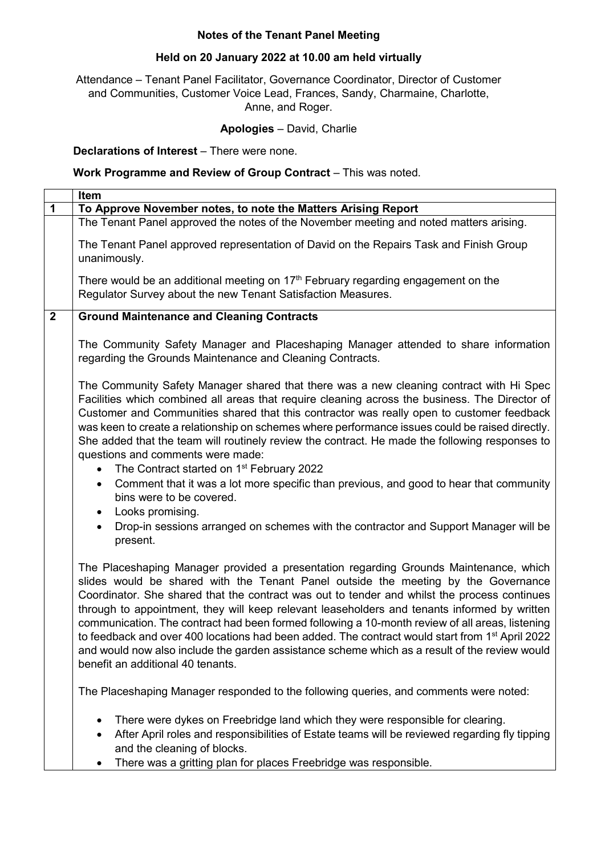## **Notes of the Tenant Panel Meeting**

## **Held on 20 January 2022 at 10.00 am held virtually**

Attendance – Tenant Panel Facilitator, Governance Coordinator, Director of Customer and Communities, Customer Voice Lead, Frances, Sandy, Charmaine, Charlotte, Anne, and Roger.

## **Apologies** – David, Charlie

**Declarations of Interest** – There were none.

## **Work Programme and Review of Group Contract** – This was noted.

|              | <b>Item</b>                                                                                                                                                                                                                                                                                                                                                                                                                                                                                                                                                                                                                                                                                                                                                   |
|--------------|---------------------------------------------------------------------------------------------------------------------------------------------------------------------------------------------------------------------------------------------------------------------------------------------------------------------------------------------------------------------------------------------------------------------------------------------------------------------------------------------------------------------------------------------------------------------------------------------------------------------------------------------------------------------------------------------------------------------------------------------------------------|
| $\mathbf 1$  | To Approve November notes, to note the Matters Arising Report                                                                                                                                                                                                                                                                                                                                                                                                                                                                                                                                                                                                                                                                                                 |
|              | The Tenant Panel approved the notes of the November meeting and noted matters arising.                                                                                                                                                                                                                                                                                                                                                                                                                                                                                                                                                                                                                                                                        |
|              | The Tenant Panel approved representation of David on the Repairs Task and Finish Group<br>unanimously.                                                                                                                                                                                                                                                                                                                                                                                                                                                                                                                                                                                                                                                        |
|              | There would be an additional meeting on $17th$ February regarding engagement on the<br>Regulator Survey about the new Tenant Satisfaction Measures.                                                                                                                                                                                                                                                                                                                                                                                                                                                                                                                                                                                                           |
| $\mathbf{2}$ | <b>Ground Maintenance and Cleaning Contracts</b>                                                                                                                                                                                                                                                                                                                                                                                                                                                                                                                                                                                                                                                                                                              |
|              | The Community Safety Manager and Placeshaping Manager attended to share information<br>regarding the Grounds Maintenance and Cleaning Contracts.                                                                                                                                                                                                                                                                                                                                                                                                                                                                                                                                                                                                              |
|              | The Community Safety Manager shared that there was a new cleaning contract with Hi Spec<br>Facilities which combined all areas that require cleaning across the business. The Director of<br>Customer and Communities shared that this contractor was really open to customer feedback<br>was keen to create a relationship on schemes where performance issues could be raised directly.<br>She added that the team will routinely review the contract. He made the following responses to<br>questions and comments were made:<br>The Contract started on 1 <sup>st</sup> February 2022<br>Comment that it was a lot more specific than previous, and good to hear that community<br>$\bullet$<br>bins were to be covered.<br>Looks promising.<br>$\bullet$ |
|              | Drop-in sessions arranged on schemes with the contractor and Support Manager will be<br>$\bullet$<br>present.                                                                                                                                                                                                                                                                                                                                                                                                                                                                                                                                                                                                                                                 |
|              | The Placeshaping Manager provided a presentation regarding Grounds Maintenance, which<br>slides would be shared with the Tenant Panel outside the meeting by the Governance<br>Coordinator. She shared that the contract was out to tender and whilst the process continues<br>through to appointment, they will keep relevant leaseholders and tenants informed by written<br>communication. The contract had been formed following a 10-month review of all areas, listening<br>to feedback and over 400 locations had been added. The contract would start from 1 <sup>st</sup> April 2022<br>and would now also include the garden assistance scheme which as a result of the review would<br>benefit an additional 40 tenants.                           |
|              | The Placeshaping Manager responded to the following queries, and comments were noted:                                                                                                                                                                                                                                                                                                                                                                                                                                                                                                                                                                                                                                                                         |
|              | There were dykes on Freebridge land which they were responsible for clearing.<br>After April roles and responsibilities of Estate teams will be reviewed regarding fly tipping<br>and the cleaning of blocks.<br>There was a gritting plan for places Freebridge was responsible.                                                                                                                                                                                                                                                                                                                                                                                                                                                                             |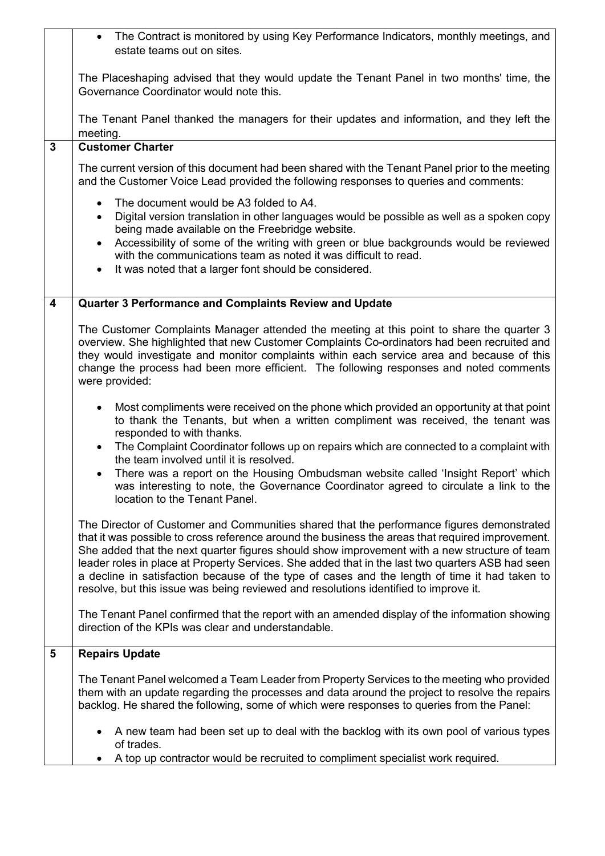|                         | The Contract is monitored by using Key Performance Indicators, monthly meetings, and<br>estate teams out on sites.                                                                                                                                                                                                                                                                                                                                                                                                                                                                                                                                                                     |
|-------------------------|----------------------------------------------------------------------------------------------------------------------------------------------------------------------------------------------------------------------------------------------------------------------------------------------------------------------------------------------------------------------------------------------------------------------------------------------------------------------------------------------------------------------------------------------------------------------------------------------------------------------------------------------------------------------------------------|
|                         | The Placeshaping advised that they would update the Tenant Panel in two months' time, the<br>Governance Coordinator would note this.                                                                                                                                                                                                                                                                                                                                                                                                                                                                                                                                                   |
|                         | The Tenant Panel thanked the managers for their updates and information, and they left the                                                                                                                                                                                                                                                                                                                                                                                                                                                                                                                                                                                             |
|                         | meeting.                                                                                                                                                                                                                                                                                                                                                                                                                                                                                                                                                                                                                                                                               |
| $\overline{3}$          | <b>Customer Charter</b><br>The current version of this document had been shared with the Tenant Panel prior to the meeting<br>and the Customer Voice Lead provided the following responses to queries and comments:<br>The document would be A3 folded to A4.<br>$\bullet$<br>Digital version translation in other languages would be possible as well as a spoken copy<br>$\bullet$<br>being made available on the Freebridge website.<br>Accessibility of some of the writing with green or blue backgrounds would be reviewed<br>$\bullet$<br>with the communications team as noted it was difficult to read.<br>It was noted that a larger font should be considered.<br>$\bullet$ |
|                         |                                                                                                                                                                                                                                                                                                                                                                                                                                                                                                                                                                                                                                                                                        |
| $\overline{\mathbf{4}}$ | Quarter 3 Performance and Complaints Review and Update                                                                                                                                                                                                                                                                                                                                                                                                                                                                                                                                                                                                                                 |
|                         |                                                                                                                                                                                                                                                                                                                                                                                                                                                                                                                                                                                                                                                                                        |
|                         | The Customer Complaints Manager attended the meeting at this point to share the quarter 3<br>overview. She highlighted that new Customer Complaints Co-ordinators had been recruited and<br>they would investigate and monitor complaints within each service area and because of this<br>change the process had been more efficient. The following responses and noted comments<br>were provided:                                                                                                                                                                                                                                                                                     |
|                         | Most compliments were received on the phone which provided an opportunity at that point<br>$\bullet$<br>to thank the Tenants, but when a written compliment was received, the tenant was<br>responded to with thanks.<br>The Complaint Coordinator follows up on repairs which are connected to a complaint with<br>$\bullet$<br>the team involved until it is resolved.<br>There was a report on the Housing Ombudsman website called 'Insight Report' which<br>$\bullet$<br>was interesting to note, the Governance Coordinator agreed to circulate a link to the<br>location to the Tenant Panel.                                                                                   |
|                         | The Director of Customer and Communities shared that the performance figures demonstrated<br>that it was possible to cross reference around the business the areas that required improvement.<br>She added that the next quarter figures should show improvement with a new structure of team<br>leader roles in place at Property Services. She added that in the last two quarters ASB had seen<br>a decline in satisfaction because of the type of cases and the length of time it had taken to<br>resolve, but this issue was being reviewed and resolutions identified to improve it.                                                                                             |
|                         | The Tenant Panel confirmed that the report with an amended display of the information showing<br>direction of the KPIs was clear and understandable.                                                                                                                                                                                                                                                                                                                                                                                                                                                                                                                                   |
| 5                       | <b>Repairs Update</b>                                                                                                                                                                                                                                                                                                                                                                                                                                                                                                                                                                                                                                                                  |
|                         | The Tenant Panel welcomed a Team Leader from Property Services to the meeting who provided<br>them with an update regarding the processes and data around the project to resolve the repairs<br>backlog. He shared the following, some of which were responses to queries from the Panel:                                                                                                                                                                                                                                                                                                                                                                                              |
|                         | A new team had been set up to deal with the backlog with its own pool of various types<br>of trades.                                                                                                                                                                                                                                                                                                                                                                                                                                                                                                                                                                                   |
|                         | A top up contractor would be recruited to compliment specialist work required.                                                                                                                                                                                                                                                                                                                                                                                                                                                                                                                                                                                                         |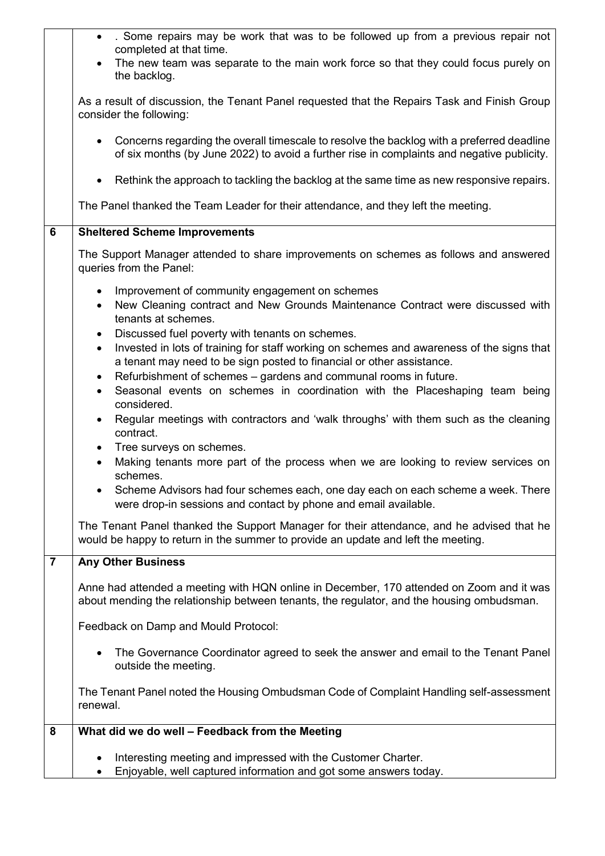|                | . Some repairs may be work that was to be followed up from a previous repair not<br>completed at that time.                                                                                                                                                                                                                      |
|----------------|----------------------------------------------------------------------------------------------------------------------------------------------------------------------------------------------------------------------------------------------------------------------------------------------------------------------------------|
|                | The new team was separate to the main work force so that they could focus purely on                                                                                                                                                                                                                                              |
|                | the backlog.                                                                                                                                                                                                                                                                                                                     |
|                | As a result of discussion, the Tenant Panel requested that the Repairs Task and Finish Group<br>consider the following:                                                                                                                                                                                                          |
|                | Concerns regarding the overall timescale to resolve the backlog with a preferred deadline<br>of six months (by June 2022) to avoid a further rise in complaints and negative publicity.                                                                                                                                          |
|                | Rethink the approach to tackling the backlog at the same time as new responsive repairs.<br>٠                                                                                                                                                                                                                                    |
|                | The Panel thanked the Team Leader for their attendance, and they left the meeting.                                                                                                                                                                                                                                               |
| 6              | <b>Sheltered Scheme Improvements</b>                                                                                                                                                                                                                                                                                             |
|                | The Support Manager attended to share improvements on schemes as follows and answered<br>queries from the Panel:                                                                                                                                                                                                                 |
|                | Improvement of community engagement on schemes<br>$\bullet$<br>New Cleaning contract and New Grounds Maintenance Contract were discussed with<br>$\bullet$<br>tenants at schemes.                                                                                                                                                |
|                | Discussed fuel poverty with tenants on schemes.<br>$\bullet$<br>Invested in lots of training for staff working on schemes and awareness of the signs that<br>$\bullet$<br>a tenant may need to be sign posted to financial or other assistance.<br>Refurbishment of schemes - gardens and communal rooms in future.<br>$\bullet$ |
|                | Seasonal events on schemes in coordination with the Placeshaping team being<br>considered.                                                                                                                                                                                                                                       |
|                | Regular meetings with contractors and 'walk throughs' with them such as the cleaning<br>٠<br>contract.                                                                                                                                                                                                                           |
|                | Tree surveys on schemes.<br>٠<br>Making tenants more part of the process when we are looking to review services on<br>$\bullet$                                                                                                                                                                                                  |
|                | schemes.<br>Scheme Advisors had four schemes each, one day each on each scheme a week. There<br>were drop-in sessions and contact by phone and email available.                                                                                                                                                                  |
|                | The Tenant Panel thanked the Support Manager for their attendance, and he advised that he<br>would be happy to return in the summer to provide an update and left the meeting.                                                                                                                                                   |
| $\overline{7}$ | <b>Any Other Business</b>                                                                                                                                                                                                                                                                                                        |
|                | Anne had attended a meeting with HQN online in December, 170 attended on Zoom and it was<br>about mending the relationship between tenants, the regulator, and the housing ombudsman.                                                                                                                                            |
|                | Feedback on Damp and Mould Protocol:                                                                                                                                                                                                                                                                                             |
|                | The Governance Coordinator agreed to seek the answer and email to the Tenant Panel<br>outside the meeting.                                                                                                                                                                                                                       |
|                | The Tenant Panel noted the Housing Ombudsman Code of Complaint Handling self-assessment<br>renewal.                                                                                                                                                                                                                              |
| 8              | What did we do well - Feedback from the Meeting                                                                                                                                                                                                                                                                                  |
|                | Interesting meeting and impressed with the Customer Charter.<br>Enjoyable, well captured information and got some answers today.                                                                                                                                                                                                 |